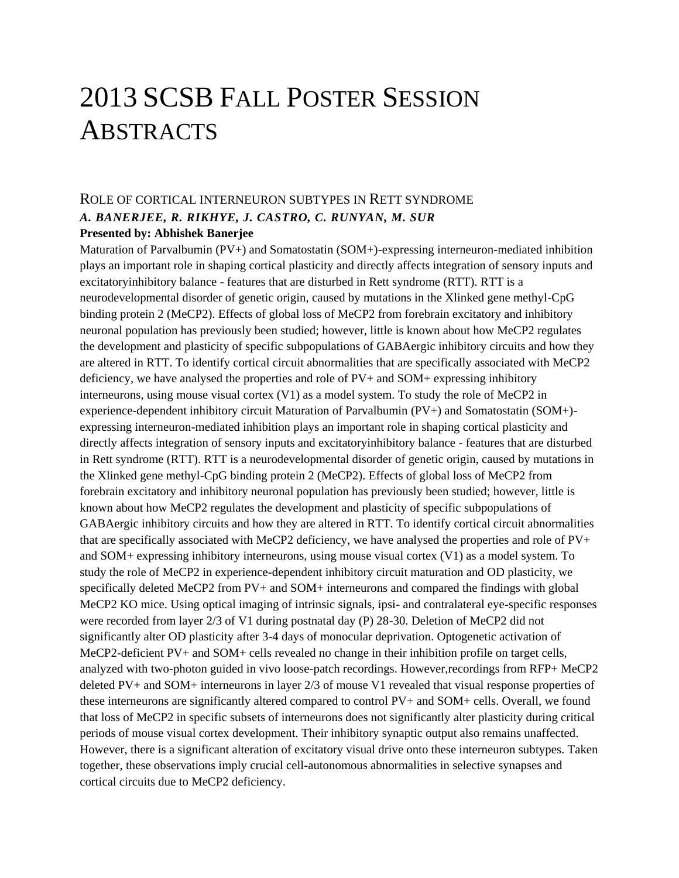# 2013 SCSB FALL POSTER SESSION ABSTRACTS

# ROLE OF CORTICAL INTERNEURON SUBTYPES IN RETT SYNDROME *A. BANERJEE, R. RIKHYE, J. CASTRO, C. RUNYAN, M. SUR*

#### **Presented by: Abhishek Banerjee**

Maturation of Parvalbumin (PV+) and Somatostatin (SOM+)-expressing interneuron-mediated inhibition plays an important role in shaping cortical plasticity and directly affects integration of sensory inputs and excitatoryinhibitory balance - features that are disturbed in Rett syndrome (RTT). RTT is a neurodevelopmental disorder of genetic origin, caused by mutations in the Xlinked gene methyl-CpG binding protein 2 (MeCP2). Effects of global loss of MeCP2 from forebrain excitatory and inhibitory neuronal population has previously been studied; however, little is known about how MeCP2 regulates the development and plasticity of specific subpopulations of GABAergic inhibitory circuits and how they are altered in RTT. To identify cortical circuit abnormalities that are specifically associated with MeCP2 deficiency, we have analysed the properties and role of PV+ and SOM+ expressing inhibitory interneurons, using mouse visual cortex (V1) as a model system. To study the role of MeCP2 in experience-dependent inhibitory circuit Maturation of Parvalbumin (PV+) and Somatostatin (SOM+) expressing interneuron-mediated inhibition plays an important role in shaping cortical plasticity and directly affects integration of sensory inputs and excitatoryinhibitory balance - features that are disturbed in Rett syndrome (RTT). RTT is a neurodevelopmental disorder of genetic origin, caused by mutations in the Xlinked gene methyl-CpG binding protein 2 (MeCP2). Effects of global loss of MeCP2 from forebrain excitatory and inhibitory neuronal population has previously been studied; however, little is known about how MeCP2 regulates the development and plasticity of specific subpopulations of GABAergic inhibitory circuits and how they are altered in RTT. To identify cortical circuit abnormalities that are specifically associated with MeCP2 deficiency, we have analysed the properties and role of PV+ and SOM+ expressing inhibitory interneurons, using mouse visual cortex (V1) as a model system. To study the role of MeCP2 in experience-dependent inhibitory circuit maturation and OD plasticity, we specifically deleted MeCP2 from PV+ and SOM+ interneurons and compared the findings with global MeCP2 KO mice. Using optical imaging of intrinsic signals, ipsi- and contralateral eye-specific responses were recorded from layer 2/3 of V1 during postnatal day (P) 28-30. Deletion of MeCP2 did not significantly alter OD plasticity after 3-4 days of monocular deprivation. Optogenetic activation of MeCP2-deficient PV+ and SOM+ cells revealed no change in their inhibition profile on target cells, analyzed with two-photon guided in vivo loose-patch recordings. However,recordings from RFP+ MeCP2 deleted PV+ and SOM+ interneurons in layer 2/3 of mouse V1 revealed that visual response properties of these interneurons are significantly altered compared to control PV+ and SOM+ cells. Overall, we found that loss of MeCP2 in specific subsets of interneurons does not significantly alter plasticity during critical periods of mouse visual cortex development. Their inhibitory synaptic output also remains unaffected. However, there is a significant alteration of excitatory visual drive onto these interneuron subtypes. Taken together, these observations imply crucial cell-autonomous abnormalities in selective synapses and cortical circuits due to MeCP2 deficiency.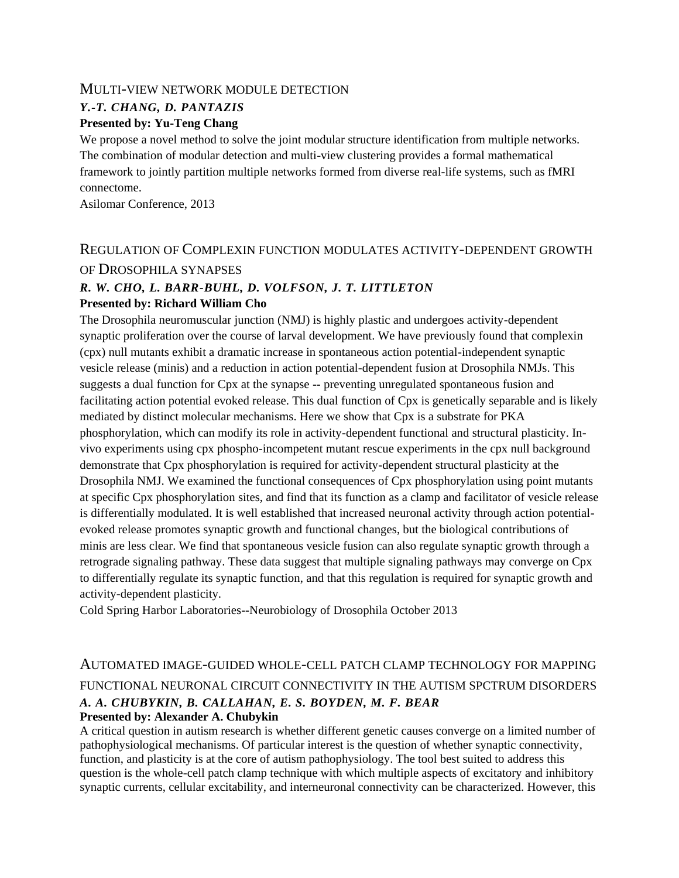#### MULTI-VIEW NETWORK MODULE DETECTION

#### *Y.-T. CHANG, D. PANTAZIS*

#### **Presented by: Yu-Teng Chang**

We propose a novel method to solve the joint modular structure identification from multiple networks. The combination of modular detection and multi-view clustering provides a formal mathematical framework to jointly partition multiple networks formed from diverse real-life systems, such as fMRI connectome.

Asilomar Conference, 2013

### REGULATION OF COMPLEXIN FUNCTION MODULATES ACTIVITY-DEPENDENT GROWTH OF DROSOPHILA SYNAPSES

#### *R. W. CHO, L. BARR-BUHL, D. VOLFSON, J. T. LITTLETON* **Presented by: Richard William Cho**

The Drosophila neuromuscular junction (NMJ) is highly plastic and undergoes activity-dependent synaptic proliferation over the course of larval development. We have previously found that complexin (cpx) null mutants exhibit a dramatic increase in spontaneous action potential-independent synaptic vesicle release (minis) and a reduction in action potential-dependent fusion at Drosophila NMJs. This suggests a dual function for Cpx at the synapse -- preventing unregulated spontaneous fusion and facilitating action potential evoked release. This dual function of Cpx is genetically separable and is likely mediated by distinct molecular mechanisms. Here we show that Cpx is a substrate for PKA phosphorylation, which can modify its role in activity-dependent functional and structural plasticity. Invivo experiments using cpx phospho-incompetent mutant rescue experiments in the cpx null background demonstrate that Cpx phosphorylation is required for activity-dependent structural plasticity at the Drosophila NMJ. We examined the functional consequences of Cpx phosphorylation using point mutants at specific Cpx phosphorylation sites, and find that its function as a clamp and facilitator of vesicle release is differentially modulated. It is well established that increased neuronal activity through action potentialevoked release promotes synaptic growth and functional changes, but the biological contributions of minis are less clear. We find that spontaneous vesicle fusion can also regulate synaptic growth through a retrograde signaling pathway. These data suggest that multiple signaling pathways may converge on Cpx to differentially regulate its synaptic function, and that this regulation is required for synaptic growth and activity-dependent plasticity.

Cold Spring Harbor Laboratories--Neurobiology of Drosophila October 2013

#### AUTOMATED IMAGE-GUIDED WHOLE-CELL PATCH CLAMP TECHNOLOGY FOR MAPPING FUNCTIONAL NEURONAL CIRCUIT CONNECTIVITY IN THE AUTISM SPCTRUM DISORDERS *A. A. CHUBYKIN, B. CALLAHAN, E. S. BOYDEN, M. F. BEAR* **Presented by: Alexander A. Chubykin**

A critical question in autism research is whether different genetic causes converge on a limited number of pathophysiological mechanisms. Of particular interest is the question of whether synaptic connectivity, function, and plasticity is at the core of autism pathophysiology. The tool best suited to address this question is the whole-cell patch clamp technique with which multiple aspects of excitatory and inhibitory synaptic currents, cellular excitability, and interneuronal connectivity can be characterized. However, this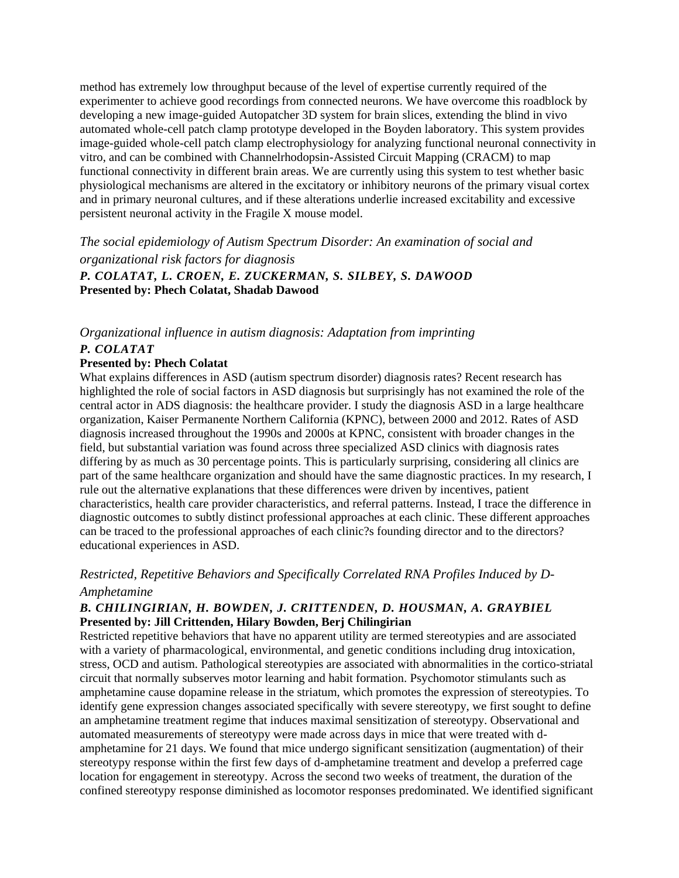method has extremely low throughput because of the level of expertise currently required of the experimenter to achieve good recordings from connected neurons. We have overcome this roadblock by developing a new image-guided Autopatcher 3D system for brain slices, extending the blind in vivo automated whole-cell patch clamp prototype developed in the Boyden laboratory. This system provides image-guided whole-cell patch clamp electrophysiology for analyzing functional neuronal connectivity in vitro, and can be combined with Channelrhodopsin-Assisted Circuit Mapping (CRACM) to map functional connectivity in different brain areas. We are currently using this system to test whether basic physiological mechanisms are altered in the excitatory or inhibitory neurons of the primary visual cortex and in primary neuronal cultures, and if these alterations underlie increased excitability and excessive persistent neuronal activity in the Fragile X mouse model.

*The social epidemiology of Autism Spectrum Disorder: An examination of social and organizational risk factors for diagnosis P. COLATAT, L. CROEN, E. ZUCKERMAN, S. SILBEY, S. DAWOOD* **Presented by: Phech Colatat, Shadab Dawood**

# *Organizational influence in autism diagnosis: Adaptation from imprinting*

#### *P. COLATAT*

#### **Presented by: Phech Colatat**

What explains differences in ASD (autism spectrum disorder) diagnosis rates? Recent research has highlighted the role of social factors in ASD diagnosis but surprisingly has not examined the role of the central actor in ADS diagnosis: the healthcare provider. I study the diagnosis ASD in a large healthcare organization, Kaiser Permanente Northern California (KPNC), between 2000 and 2012. Rates of ASD diagnosis increased throughout the 1990s and 2000s at KPNC, consistent with broader changes in the field, but substantial variation was found across three specialized ASD clinics with diagnosis rates differing by as much as 30 percentage points. This is particularly surprising, considering all clinics are part of the same healthcare organization and should have the same diagnostic practices. In my research, I rule out the alternative explanations that these differences were driven by incentives, patient characteristics, health care provider characteristics, and referral patterns. Instead, I trace the difference in diagnostic outcomes to subtly distinct professional approaches at each clinic. These different approaches can be traced to the professional approaches of each clinic?s founding director and to the directors? educational experiences in ASD.

#### *Restricted, Repetitive Behaviors and Specifically Correlated RNA Profiles Induced by D-Amphetamine*

#### *B. CHILINGIRIAN, H. BOWDEN, J. CRITTENDEN, D. HOUSMAN, A. GRAYBIEL* **Presented by: Jill Crittenden, Hilary Bowden, Berj Chilingirian**

Restricted repetitive behaviors that have no apparent utility are termed stereotypies and are associated with a variety of pharmacological, environmental, and genetic conditions including drug intoxication, stress, OCD and autism. Pathological stereotypies are associated with abnormalities in the cortico-striatal circuit that normally subserves motor learning and habit formation. Psychomotor stimulants such as amphetamine cause dopamine release in the striatum, which promotes the expression of stereotypies. To identify gene expression changes associated specifically with severe stereotypy, we first sought to define an amphetamine treatment regime that induces maximal sensitization of stereotypy. Observational and automated measurements of stereotypy were made across days in mice that were treated with damphetamine for 21 days. We found that mice undergo significant sensitization (augmentation) of their stereotypy response within the first few days of d-amphetamine treatment and develop a preferred cage location for engagement in stereotypy. Across the second two weeks of treatment, the duration of the confined stereotypy response diminished as locomotor responses predominated. We identified significant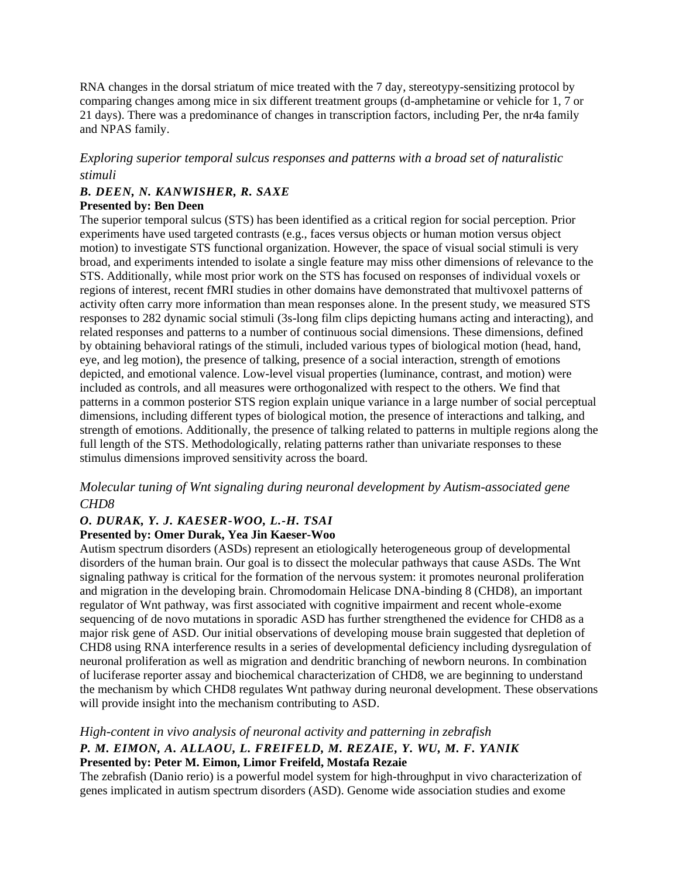RNA changes in the dorsal striatum of mice treated with the 7 day, stereotypy-sensitizing protocol by comparing changes among mice in six different treatment groups (d-amphetamine or vehicle for 1, 7 or 21 days). There was a predominance of changes in transcription factors, including Per, the nr4a family and NPAS family.

*Exploring superior temporal sulcus responses and patterns with a broad set of naturalistic stimuli*

# *B. DEEN, N. KANWISHER, R. SAXE*

**Presented by: Ben Deen**

The superior temporal sulcus (STS) has been identified as a critical region for social perception. Prior experiments have used targeted contrasts (e.g., faces versus objects or human motion versus object motion) to investigate STS functional organization. However, the space of visual social stimuli is very broad, and experiments intended to isolate a single feature may miss other dimensions of relevance to the STS. Additionally, while most prior work on the STS has focused on responses of individual voxels or regions of interest, recent fMRI studies in other domains have demonstrated that multivoxel patterns of activity often carry more information than mean responses alone. In the present study, we measured STS responses to 282 dynamic social stimuli (3s-long film clips depicting humans acting and interacting), and related responses and patterns to a number of continuous social dimensions. These dimensions, defined by obtaining behavioral ratings of the stimuli, included various types of biological motion (head, hand, eye, and leg motion), the presence of talking, presence of a social interaction, strength of emotions depicted, and emotional valence. Low-level visual properties (luminance, contrast, and motion) were included as controls, and all measures were orthogonalized with respect to the others. We find that patterns in a common posterior STS region explain unique variance in a large number of social perceptual dimensions, including different types of biological motion, the presence of interactions and talking, and strength of emotions. Additionally, the presence of talking related to patterns in multiple regions along the full length of the STS. Methodologically, relating patterns rather than univariate responses to these stimulus dimensions improved sensitivity across the board.

#### *Molecular tuning of Wnt signaling during neuronal development by Autism-associated gene CHD8*

#### *O. DURAK, Y. J. KAESER-WOO, L.-H. TSAI* **Presented by: Omer Durak, Yea Jin Kaeser-Woo**

Autism spectrum disorders (ASDs) represent an etiologically heterogeneous group of developmental disorders of the human brain. Our goal is to dissect the molecular pathways that cause ASDs. The Wnt signaling pathway is critical for the formation of the nervous system: it promotes neuronal proliferation and migration in the developing brain. Chromodomain Helicase DNA-binding 8 (CHD8), an important regulator of Wnt pathway, was first associated with cognitive impairment and recent whole-exome sequencing of de novo mutations in sporadic ASD has further strengthened the evidence for CHD8 as a major risk gene of ASD. Our initial observations of developing mouse brain suggested that depletion of CHD8 using RNA interference results in a series of developmental deficiency including dysregulation of neuronal proliferation as well as migration and dendritic branching of newborn neurons. In combination of luciferase reporter assay and biochemical characterization of CHD8, we are beginning to understand the mechanism by which CHD8 regulates Wnt pathway during neuronal development. These observations will provide insight into the mechanism contributing to ASD.

#### *High-content in vivo analysis of neuronal activity and patterning in zebrafish*

#### *P. M. EIMON, A. ALLAOU, L. FREIFELD, M. REZAIE, Y. WU, M. F. YANIK* **Presented by: Peter M. Eimon, Limor Freifeld, Mostafa Rezaie**

The zebrafish (Danio rerio) is a powerful model system for high-throughput in vivo characterization of genes implicated in autism spectrum disorders (ASD). Genome wide association studies and exome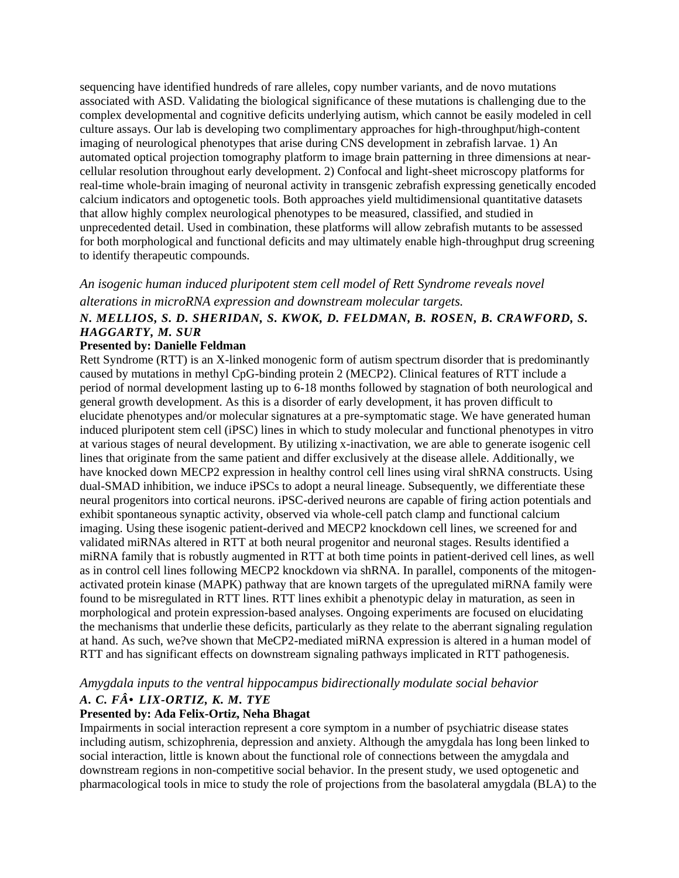sequencing have identified hundreds of rare alleles, copy number variants, and de novo mutations associated with ASD. Validating the biological significance of these mutations is challenging due to the complex developmental and cognitive deficits underlying autism, which cannot be easily modeled in cell culture assays. Our lab is developing two complimentary approaches for high-throughput/high-content imaging of neurological phenotypes that arise during CNS development in zebrafish larvae. 1) An automated optical projection tomography platform to image brain patterning in three dimensions at nearcellular resolution throughout early development. 2) Confocal and light-sheet microscopy platforms for real-time whole-brain imaging of neuronal activity in transgenic zebrafish expressing genetically encoded calcium indicators and optogenetic tools. Both approaches yield multidimensional quantitative datasets that allow highly complex neurological phenotypes to be measured, classified, and studied in unprecedented detail. Used in combination, these platforms will allow zebrafish mutants to be assessed for both morphological and functional deficits and may ultimately enable high-throughput drug screening to identify therapeutic compounds.

# *An isogenic human induced pluripotent stem cell model of Rett Syndrome reveals novel alterations in microRNA expression and downstream molecular targets.*

## *N. MELLIOS, S. D. SHERIDAN, S. KWOK, D. FELDMAN, B. ROSEN, B. CRAWFORD, S. HAGGARTY, M. SUR*

#### **Presented by: Danielle Feldman**

Rett Syndrome (RTT) is an X-linked monogenic form of autism spectrum disorder that is predominantly caused by mutations in methyl CpG-binding protein 2 (MECP2). Clinical features of RTT include a period of normal development lasting up to 6-18 months followed by stagnation of both neurological and general growth development. As this is a disorder of early development, it has proven difficult to elucidate phenotypes and/or molecular signatures at a pre-symptomatic stage. We have generated human induced pluripotent stem cell (iPSC) lines in which to study molecular and functional phenotypes in vitro at various stages of neural development. By utilizing x-inactivation, we are able to generate isogenic cell lines that originate from the same patient and differ exclusively at the disease allele. Additionally, we have knocked down MECP2 expression in healthy control cell lines using viral shRNA constructs. Using dual-SMAD inhibition, we induce iPSCs to adopt a neural lineage. Subsequently, we differentiate these neural progenitors into cortical neurons. iPSC-derived neurons are capable of firing action potentials and exhibit spontaneous synaptic activity, observed via whole-cell patch clamp and functional calcium imaging. Using these isogenic patient-derived and MECP2 knockdown cell lines, we screened for and validated miRNAs altered in RTT at both neural progenitor and neuronal stages. Results identified a miRNA family that is robustly augmented in RTT at both time points in patient-derived cell lines, as well as in control cell lines following MECP2 knockdown via shRNA. In parallel, components of the mitogenactivated protein kinase (MAPK) pathway that are known targets of the upregulated miRNA family were found to be misregulated in RTT lines. RTT lines exhibit a phenotypic delay in maturation, as seen in morphological and protein expression-based analyses. Ongoing experiments are focused on elucidating the mechanisms that underlie these deficits, particularly as they relate to the aberrant signaling regulation at hand. As such, we?ve shown that MeCP2-mediated miRNA expression is altered in a human model of RTT and has significant effects on downstream signaling pathways implicated in RTT pathogenesis.

#### *Amygdala inputs to the ventral hippocampus bidirectionally modulate social behavior A. C. F•LIX-ORTIZ, K. M. TYE*

#### **Presented by: Ada Felix-Ortiz, Neha Bhagat**

Impairments in social interaction represent a core symptom in a number of psychiatric disease states including autism, schizophrenia, depression and anxiety. Although the amygdala has long been linked to social interaction, little is known about the functional role of connections between the amygdala and downstream regions in non-competitive social behavior. In the present study, we used optogenetic and pharmacological tools in mice to study the role of projections from the basolateral amygdala (BLA) to the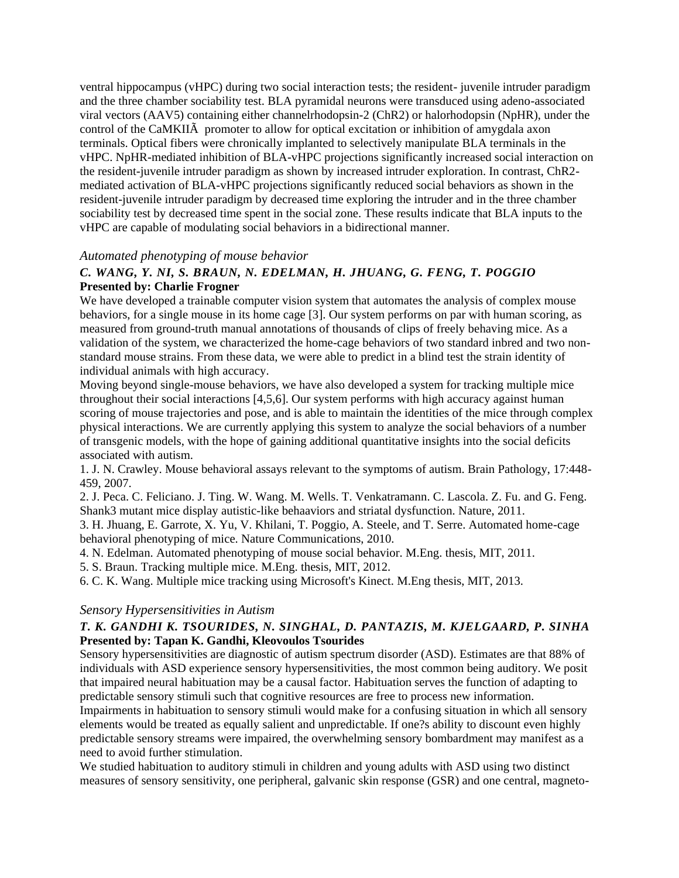ventral hippocampus (vHPC) during two social interaction tests; the resident- juvenile intruder paradigm and the three chamber sociability test. BLA pyramidal neurons were transduced using adeno-associated viral vectors (AAV5) containing either channelrhodopsin-2 (ChR2) or halorhodopsin (NpHR), under the control of the CaMKIIÃ promoter to allow for optical excitation or inhibition of amygdala axon terminals. Optical fibers were chronically implanted to selectively manipulate BLA terminals in the vHPC. NpHR-mediated inhibition of BLA-vHPC projections significantly increased social interaction on the resident-juvenile intruder paradigm as shown by increased intruder exploration. In contrast, ChR2 mediated activation of BLA-vHPC projections significantly reduced social behaviors as shown in the resident-juvenile intruder paradigm by decreased time exploring the intruder and in the three chamber sociability test by decreased time spent in the social zone. These results indicate that BLA inputs to the vHPC are capable of modulating social behaviors in a bidirectional manner.

#### *Automated phenotyping of mouse behavior*

#### *C. WANG, Y. NI, S. BRAUN, N. EDELMAN, H. JHUANG, G. FENG, T. POGGIO* **Presented by: Charlie Frogner**

We have developed a trainable computer vision system that automates the analysis of complex mouse behaviors, for a single mouse in its home cage [3]. Our system performs on par with human scoring, as measured from ground-truth manual annotations of thousands of clips of freely behaving mice. As a validation of the system, we characterized the home-cage behaviors of two standard inbred and two nonstandard mouse strains. From these data, we were able to predict in a blind test the strain identity of individual animals with high accuracy.

Moving beyond single-mouse behaviors, we have also developed a system for tracking multiple mice throughout their social interactions [4,5,6]. Our system performs with high accuracy against human scoring of mouse trajectories and pose, and is able to maintain the identities of the mice through complex physical interactions. We are currently applying this system to analyze the social behaviors of a number of transgenic models, with the hope of gaining additional quantitative insights into the social deficits associated with autism.

1. J. N. Crawley. Mouse behavioral assays relevant to the symptoms of autism. Brain Pathology, 17:448- 459, 2007.

2. J. Peca. C. Feliciano. J. Ting. W. Wang. M. Wells. T. Venkatramann. C. Lascola. Z. Fu. and G. Feng. Shank3 mutant mice display autistic-like behaaviors and striatal dysfunction. Nature, 2011.

3. H. Jhuang, E. Garrote, X. Yu, V. Khilani, T. Poggio, A. Steele, and T. Serre. Automated home-cage behavioral phenotyping of mice. Nature Communications, 2010.

4. N. Edelman. Automated phenotyping of mouse social behavior. M.Eng. thesis, MIT, 2011.

5. S. Braun. Tracking multiple mice. M.Eng. thesis, MIT, 2012.

6. C. K. Wang. Multiple mice tracking using Microsoft's Kinect. M.Eng thesis, MIT, 2013.

#### *Sensory Hypersensitivities in Autism*

#### *T. K. GANDHI K. TSOURIDES, N. SINGHAL, D. PANTAZIS, M. KJELGAARD, P. SINHA* **Presented by: Tapan K. Gandhi, Kleovoulos Tsourides**

Sensory hypersensitivities are diagnostic of autism spectrum disorder (ASD). Estimates are that 88% of individuals with ASD experience sensory hypersensitivities, the most common being auditory. We posit that impaired neural habituation may be a causal factor. Habituation serves the function of adapting to predictable sensory stimuli such that cognitive resources are free to process new information.

Impairments in habituation to sensory stimuli would make for a confusing situation in which all sensory elements would be treated as equally salient and unpredictable. If one?s ability to discount even highly predictable sensory streams were impaired, the overwhelming sensory bombardment may manifest as a need to avoid further stimulation.

We studied habituation to auditory stimuli in children and young adults with ASD using two distinct measures of sensory sensitivity, one peripheral, galvanic skin response (GSR) and one central, magneto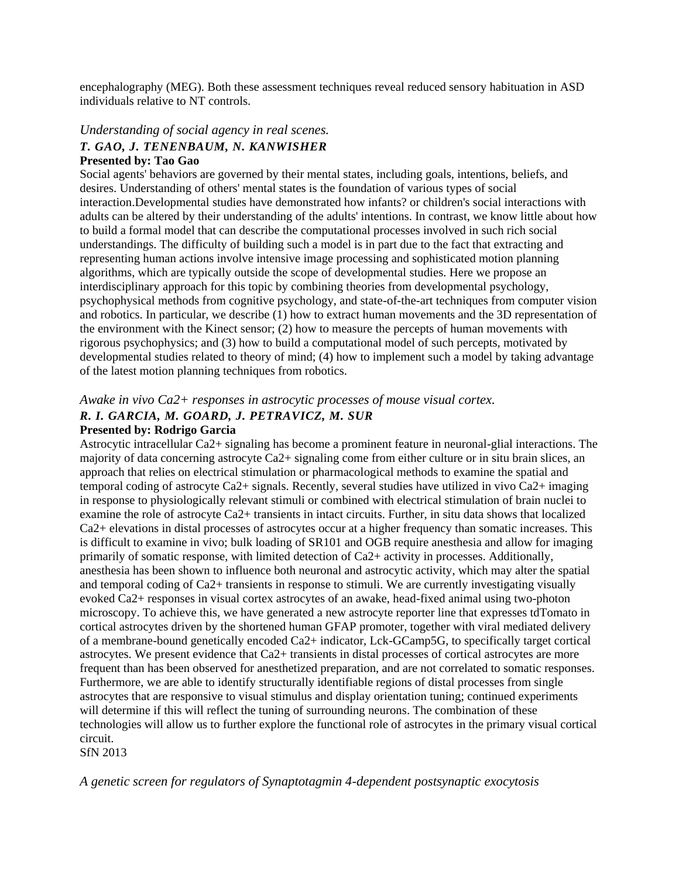encephalography (MEG). Both these assessment techniques reveal reduced sensory habituation in ASD individuals relative to NT controls.

#### *Understanding of social agency in real scenes. T. GAO, J. TENENBAUM, N. KANWISHER* **Presented by: Tao Gao**

#### Social agents' behaviors are governed by their mental states, including goals, intentions, beliefs, and desires. Understanding of others' mental states is the foundation of various types of social interaction.Developmental studies have demonstrated how infants? or children's social interactions with adults can be altered by their understanding of the adults' intentions. In contrast, we know little about how to build a formal model that can describe the computational processes involved in such rich social understandings. The difficulty of building such a model is in part due to the fact that extracting and representing human actions involve intensive image processing and sophisticated motion planning algorithms, which are typically outside the scope of developmental studies. Here we propose an interdisciplinary approach for this topic by combining theories from developmental psychology, psychophysical methods from cognitive psychology, and state-of-the-art techniques from computer vision and robotics. In particular, we describe (1) how to extract human movements and the 3D representation of the environment with the Kinect sensor; (2) how to measure the percepts of human movements with rigorous psychophysics; and (3) how to build a computational model of such percepts, motivated by

developmental studies related to theory of mind; (4) how to implement such a model by taking advantage of the latest motion planning techniques from robotics.

*Awake in vivo Ca2+ responses in astrocytic processes of mouse visual cortex.*

# *R. I. GARCIA, M. GOARD, J. PETRAVICZ, M. SUR*

#### **Presented by: Rodrigo Garcia**

Astrocytic intracellular Ca2+ signaling has become a prominent feature in neuronal-glial interactions. The majority of data concerning astrocyte Ca2+ signaling come from either culture or in situ brain slices, an approach that relies on electrical stimulation or pharmacological methods to examine the spatial and temporal coding of astrocyte Ca2+ signals. Recently, several studies have utilized in vivo Ca2+ imaging in response to physiologically relevant stimuli or combined with electrical stimulation of brain nuclei to examine the role of astrocyte Ca2+ transients in intact circuits. Further, in situ data shows that localized Ca2+ elevations in distal processes of astrocytes occur at a higher frequency than somatic increases. This is difficult to examine in vivo; bulk loading of SR101 and OGB require anesthesia and allow for imaging primarily of somatic response, with limited detection of Ca2+ activity in processes. Additionally, anesthesia has been shown to influence both neuronal and astrocytic activity, which may alter the spatial and temporal coding of Ca2+ transients in response to stimuli. We are currently investigating visually evoked Ca2+ responses in visual cortex astrocytes of an awake, head-fixed animal using two-photon microscopy. To achieve this, we have generated a new astrocyte reporter line that expresses tdTomato in cortical astrocytes driven by the shortened human GFAP promoter, together with viral mediated delivery of a membrane-bound genetically encoded Ca2+ indicator, Lck-GCamp5G, to specifically target cortical astrocytes. We present evidence that Ca2+ transients in distal processes of cortical astrocytes are more frequent than has been observed for anesthetized preparation, and are not correlated to somatic responses. Furthermore, we are able to identify structurally identifiable regions of distal processes from single astrocytes that are responsive to visual stimulus and display orientation tuning; continued experiments will determine if this will reflect the tuning of surrounding neurons. The combination of these technologies will allow us to further explore the functional role of astrocytes in the primary visual cortical circuit.

SfN 2013

*A genetic screen for regulators of Synaptotagmin 4-dependent postsynaptic exocytosis*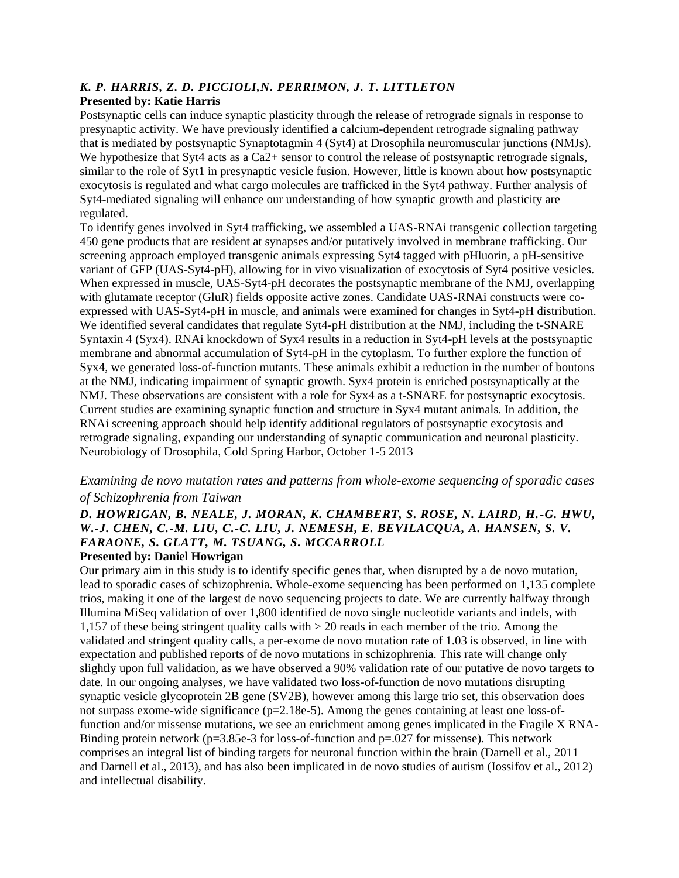# *K. P. HARRIS, Z. D. PICCIOLI,N. PERRIMON, J. T. LITTLETON*

#### **Presented by: Katie Harris**

Postsynaptic cells can induce synaptic plasticity through the release of retrograde signals in response to presynaptic activity. We have previously identified a calcium-dependent retrograde signaling pathway that is mediated by postsynaptic Synaptotagmin 4 (Syt4) at Drosophila neuromuscular junctions (NMJs). We hypothesize that Syt4 acts as a Ca2+ sensor to control the release of postsynaptic retrograde signals, similar to the role of Syt1 in presynaptic vesicle fusion. However, little is known about how postsynaptic exocytosis is regulated and what cargo molecules are trafficked in the Syt4 pathway. Further analysis of Syt4-mediated signaling will enhance our understanding of how synaptic growth and plasticity are regulated.

To identify genes involved in Syt4 trafficking, we assembled a UAS-RNAi transgenic collection targeting 450 gene products that are resident at synapses and/or putatively involved in membrane trafficking. Our screening approach employed transgenic animals expressing Syt4 tagged with pHluorin, a pH-sensitive variant of GFP (UAS-Syt4-pH), allowing for in vivo visualization of exocytosis of Syt4 positive vesicles. When expressed in muscle, UAS-Syt4-pH decorates the postsynaptic membrane of the NMJ, overlapping with glutamate receptor (GluR) fields opposite active zones. Candidate UAS-RNAi constructs were coexpressed with UAS-Syt4-pH in muscle, and animals were examined for changes in Syt4-pH distribution. We identified several candidates that regulate Syt4-pH distribution at the NMJ, including the t-SNARE Syntaxin 4 (Syx4). RNAi knockdown of Syx4 results in a reduction in Syt4-pH levels at the postsynaptic membrane and abnormal accumulation of Syt4-pH in the cytoplasm. To further explore the function of Syx4, we generated loss-of-function mutants. These animals exhibit a reduction in the number of boutons at the NMJ, indicating impairment of synaptic growth. Syx4 protein is enriched postsynaptically at the NMJ. These observations are consistent with a role for Syx4 as a t-SNARE for postsynaptic exocytosis. Current studies are examining synaptic function and structure in Syx4 mutant animals. In addition, the RNAi screening approach should help identify additional regulators of postsynaptic exocytosis and retrograde signaling, expanding our understanding of synaptic communication and neuronal plasticity. Neurobiology of Drosophila, Cold Spring Harbor, October 1-5 2013

#### *Examining de novo mutation rates and patterns from whole-exome sequencing of sporadic cases of Schizophrenia from Taiwan*

## *D. HOWRIGAN, B. NEALE, J. MORAN, K. CHAMBERT, S. ROSE, N. LAIRD, H.-G. HWU, W.-J. CHEN, C.-M. LIU, C.-C. LIU, J. NEMESH, E. BEVILACQUA, A. HANSEN, S. V. FARAONE, S. GLATT, M. TSUANG, S. MCCARROLL*

#### **Presented by: Daniel Howrigan**

Our primary aim in this study is to identify specific genes that, when disrupted by a de novo mutation, lead to sporadic cases of schizophrenia. Whole-exome sequencing has been performed on 1,135 complete trios, making it one of the largest de novo sequencing projects to date. We are currently halfway through Illumina MiSeq validation of over 1,800 identified de novo single nucleotide variants and indels, with 1,157 of these being stringent quality calls with > 20 reads in each member of the trio. Among the validated and stringent quality calls, a per-exome de novo mutation rate of 1.03 is observed, in line with expectation and published reports of de novo mutations in schizophrenia. This rate will change only slightly upon full validation, as we have observed a 90% validation rate of our putative de novo targets to date. In our ongoing analyses, we have validated two loss-of-function de novo mutations disrupting synaptic vesicle glycoprotein 2B gene (SV2B), however among this large trio set, this observation does not surpass exome-wide significance ( $p=2.18e-5$ ). Among the genes containing at least one loss-offunction and/or missense mutations, we see an enrichment among genes implicated in the Fragile X RNA-Binding protein network ( $p=3.85e-3$  for loss-of-function and  $p=.027$  for missense). This network comprises an integral list of binding targets for neuronal function within the brain (Darnell et al., 2011 and Darnell et al., 2013), and has also been implicated in de novo studies of autism (Iossifov et al., 2012) and intellectual disability.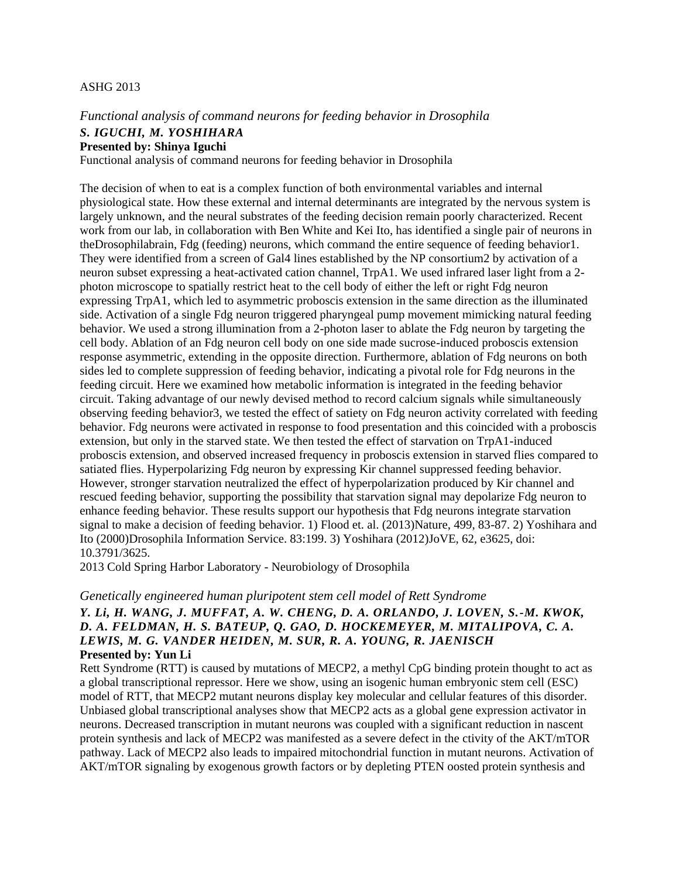#### ASHG 2013

#### *Functional analysis of command neurons for feeding behavior in Drosophila S. IGUCHI, M. YOSHIHARA* **Presented by: Shinya Iguchi**

Functional analysis of command neurons for feeding behavior in Drosophila

The decision of when to eat is a complex function of both environmental variables and internal physiological state. How these external and internal determinants are integrated by the nervous system is largely unknown, and the neural substrates of the feeding decision remain poorly characterized. Recent work from our lab, in collaboration with Ben White and Kei Ito, has identified a single pair of neurons in theDrosophilabrain, Fdg (feeding) neurons, which command the entire sequence of feeding behavior1. They were identified from a screen of Gal4 lines established by the NP consortium2 by activation of a neuron subset expressing a heat-activated cation channel, TrpA1. We used infrared laser light from a 2 photon microscope to spatially restrict heat to the cell body of either the left or right Fdg neuron expressing TrpA1, which led to asymmetric proboscis extension in the same direction as the illuminated side. Activation of a single Fdg neuron triggered pharyngeal pump movement mimicking natural feeding behavior. We used a strong illumination from a 2-photon laser to ablate the Fdg neuron by targeting the cell body. Ablation of an Fdg neuron cell body on one side made sucrose-induced proboscis extension response asymmetric, extending in the opposite direction. Furthermore, ablation of Fdg neurons on both sides led to complete suppression of feeding behavior, indicating a pivotal role for Fdg neurons in the feeding circuit. Here we examined how metabolic information is integrated in the feeding behavior circuit. Taking advantage of our newly devised method to record calcium signals while simultaneously observing feeding behavior3, we tested the effect of satiety on Fdg neuron activity correlated with feeding behavior. Fdg neurons were activated in response to food presentation and this coincided with a proboscis extension, but only in the starved state. We then tested the effect of starvation on TrpA1-induced proboscis extension, and observed increased frequency in proboscis extension in starved flies compared to satiated flies. Hyperpolarizing Fdg neuron by expressing Kir channel suppressed feeding behavior. However, stronger starvation neutralized the effect of hyperpolarization produced by Kir channel and rescued feeding behavior, supporting the possibility that starvation signal may depolarize Fdg neuron to enhance feeding behavior. These results support our hypothesis that Fdg neurons integrate starvation signal to make a decision of feeding behavior. 1) Flood et. al. (2013)Nature, 499, 83-87. 2) Yoshihara and Ito (2000)Drosophila Information Service. 83:199. 3) Yoshihara (2012)JoVE, 62, e3625, doi: 10.3791/3625.

2013 Cold Spring Harbor Laboratory - Neurobiology of Drosophila

#### *Genetically engineered human pluripotent stem cell model of Rett Syndrome*

#### *Y. Li, H. WANG, J. MUFFAT, A. W. CHENG, D. A. ORLANDO, J. LOVEN, S.-M. KWOK, D. A. FELDMAN, H. S. BATEUP, Q. GAO, D. HOCKEMEYER, M. MITALIPOVA, C. A. LEWIS, M. G. VANDER HEIDEN, M. SUR, R. A. YOUNG, R. JAENISCH* **Presented by: Yun Li**

Rett Syndrome (RTT) is caused by mutations of MECP2, a methyl CpG binding protein thought to act as a global transcriptional repressor. Here we show, using an isogenic human embryonic stem cell (ESC) model of RTT, that MECP2 mutant neurons display key molecular and cellular features of this disorder. Unbiased global transcriptional analyses show that MECP2 acts as a global gene expression activator in neurons. Decreased transcription in mutant neurons was coupled with a significant reduction in nascent protein synthesis and lack of MECP2 was manifested as a severe defect in the ctivity of the AKT/mTOR pathway. Lack of MECP2 also leads to impaired mitochondrial function in mutant neurons. Activation of AKT/mTOR signaling by exogenous growth factors or by depleting PTEN oosted protein synthesis and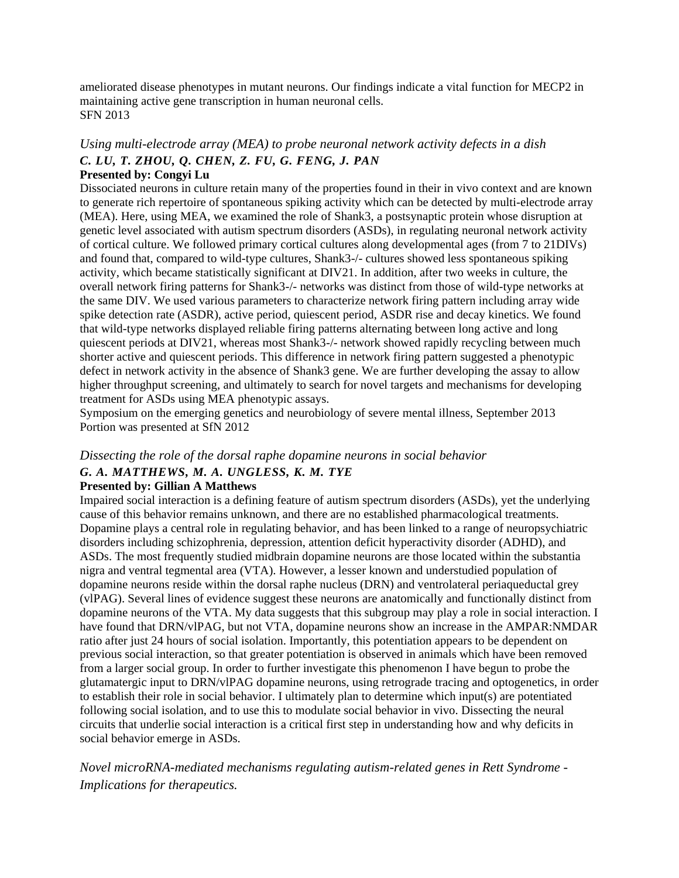ameliorated disease phenotypes in mutant neurons. Our findings indicate a vital function for MECP2 in maintaining active gene transcription in human neuronal cells. SFN 2013

# *Using multi-electrode array (MEA) to probe neuronal network activity defects in a dish C. LU, T. ZHOU, Q. CHEN, Z. FU, G. FENG, J. PAN*

#### **Presented by: Congyi Lu**

Dissociated neurons in culture retain many of the properties found in their in vivo context and are known to generate rich repertoire of spontaneous spiking activity which can be detected by multi-electrode array (MEA). Here, using MEA, we examined the role of Shank3, a postsynaptic protein whose disruption at genetic level associated with autism spectrum disorders (ASDs), in regulating neuronal network activity of cortical culture. We followed primary cortical cultures along developmental ages (from 7 to 21DIVs) and found that, compared to wild-type cultures, Shank3-/- cultures showed less spontaneous spiking activity, which became statistically significant at DIV21. In addition, after two weeks in culture, the overall network firing patterns for Shank3-/- networks was distinct from those of wild-type networks at the same DIV. We used various parameters to characterize network firing pattern including array wide spike detection rate (ASDR), active period, quiescent period, ASDR rise and decay kinetics. We found that wild-type networks displayed reliable firing patterns alternating between long active and long quiescent periods at DIV21, whereas most Shank3-/- network showed rapidly recycling between much shorter active and quiescent periods. This difference in network firing pattern suggested a phenotypic defect in network activity in the absence of Shank3 gene. We are further developing the assay to allow higher throughput screening, and ultimately to search for novel targets and mechanisms for developing treatment for ASDs using MEA phenotypic assays.

Symposium on the emerging genetics and neurobiology of severe mental illness, September 2013 Portion was presented at SfN 2012

#### *Dissecting the role of the dorsal raphe dopamine neurons in social behavior G. A. MATTHEWS, M. A. UNGLESS, K. M. TYE*

#### **Presented by: Gillian A Matthews**

Impaired social interaction is a defining feature of autism spectrum disorders (ASDs), yet the underlying cause of this behavior remains unknown, and there are no established pharmacological treatments. Dopamine plays a central role in regulating behavior, and has been linked to a range of neuropsychiatric disorders including schizophrenia, depression, attention deficit hyperactivity disorder (ADHD), and ASDs. The most frequently studied midbrain dopamine neurons are those located within the substantia nigra and ventral tegmental area (VTA). However, a lesser known and understudied population of dopamine neurons reside within the dorsal raphe nucleus (DRN) and ventrolateral periaqueductal grey (vlPAG). Several lines of evidence suggest these neurons are anatomically and functionally distinct from dopamine neurons of the VTA. My data suggests that this subgroup may play a role in social interaction. I have found that DRN/vlPAG, but not VTA, dopamine neurons show an increase in the AMPAR:NMDAR ratio after just 24 hours of social isolation. Importantly, this potentiation appears to be dependent on previous social interaction, so that greater potentiation is observed in animals which have been removed from a larger social group. In order to further investigate this phenomenon I have begun to probe the glutamatergic input to DRN/vlPAG dopamine neurons, using retrograde tracing and optogenetics, in order to establish their role in social behavior. I ultimately plan to determine which input(s) are potentiated following social isolation, and to use this to modulate social behavior in vivo. Dissecting the neural circuits that underlie social interaction is a critical first step in understanding how and why deficits in social behavior emerge in ASDs.

*Novel microRNA-mediated mechanisms regulating autism-related genes in Rett Syndrome - Implications for therapeutics.*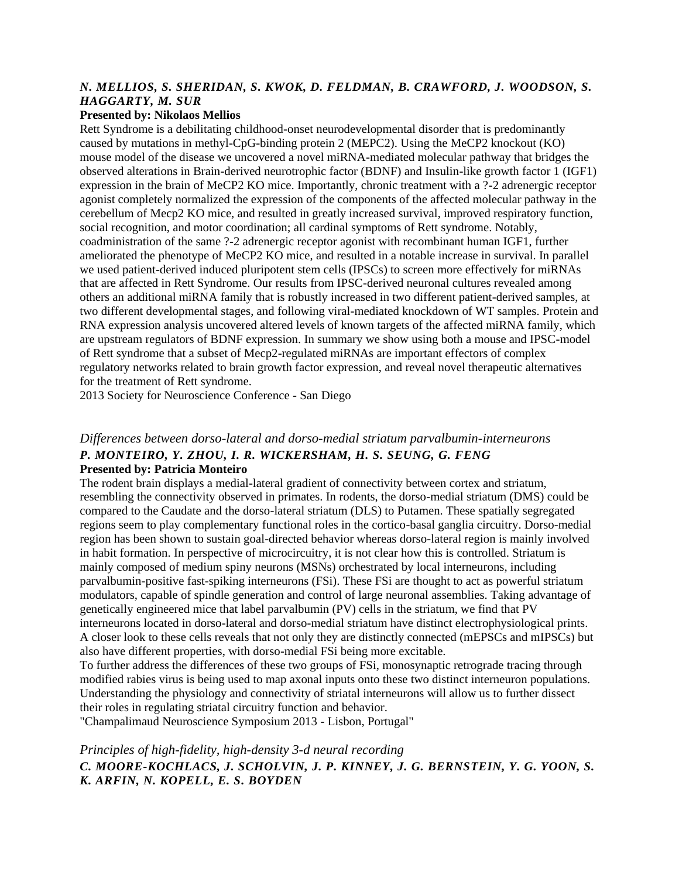#### *N. MELLIOS, S. SHERIDAN, S. KWOK, D. FELDMAN, B. CRAWFORD, J. WOODSON, S. HAGGARTY, M. SUR*

#### **Presented by: Nikolaos Mellios**

Rett Syndrome is a debilitating childhood-onset neurodevelopmental disorder that is predominantly caused by mutations in methyl-CpG-binding protein 2 (MEPC2). Using the MeCP2 knockout (KO) mouse model of the disease we uncovered a novel miRNA-mediated molecular pathway that bridges the observed alterations in Brain-derived neurotrophic factor (BDNF) and Insulin-like growth factor 1 (IGF1) expression in the brain of MeCP2 KO mice. Importantly, chronic treatment with a ?-2 adrenergic receptor agonist completely normalized the expression of the components of the affected molecular pathway in the cerebellum of Mecp2 KO mice, and resulted in greatly increased survival, improved respiratory function, social recognition, and motor coordination; all cardinal symptoms of Rett syndrome. Notably, coadministration of the same ?-2 adrenergic receptor agonist with recombinant human IGF1, further ameliorated the phenotype of MeCP2 KO mice, and resulted in a notable increase in survival. In parallel we used patient-derived induced pluripotent stem cells (IPSCs) to screen more effectively for miRNAs that are affected in Rett Syndrome. Our results from IPSC-derived neuronal cultures revealed among others an additional miRNA family that is robustly increased in two different patient-derived samples, at two different developmental stages, and following viral-mediated knockdown of WT samples. Protein and RNA expression analysis uncovered altered levels of known targets of the affected miRNA family, which are upstream regulators of BDNF expression. In summary we show using both a mouse and IPSC-model of Rett syndrome that a subset of Mecp2-regulated miRNAs are important effectors of complex regulatory networks related to brain growth factor expression, and reveal novel therapeutic alternatives for the treatment of Rett syndrome.

2013 Society for Neuroscience Conference - San Diego

#### *Differences between dorso-lateral and dorso-medial striatum parvalbumin-interneurons P. MONTEIRO, Y. ZHOU, I. R. WICKERSHAM, H. S. SEUNG, G. FENG* **Presented by: Patricia Monteiro**

The rodent brain displays a medial-lateral gradient of connectivity between cortex and striatum, resembling the connectivity observed in primates. In rodents, the dorso-medial striatum (DMS) could be compared to the Caudate and the dorso-lateral striatum (DLS) to Putamen. These spatially segregated regions seem to play complementary functional roles in the cortico-basal ganglia circuitry. Dorso-medial region has been shown to sustain goal-directed behavior whereas dorso-lateral region is mainly involved in habit formation. In perspective of microcircuitry, it is not clear how this is controlled. Striatum is mainly composed of medium spiny neurons (MSNs) orchestrated by local interneurons, including parvalbumin-positive fast-spiking interneurons (FSi). These FSi are thought to act as powerful striatum modulators, capable of spindle generation and control of large neuronal assemblies. Taking advantage of genetically engineered mice that label parvalbumin (PV) cells in the striatum, we find that PV interneurons located in dorso-lateral and dorso-medial striatum have distinct electrophysiological prints. A closer look to these cells reveals that not only they are distinctly connected (mEPSCs and mIPSCs) but also have different properties, with dorso-medial FSi being more excitable.

To further address the differences of these two groups of FSi, monosynaptic retrograde tracing through modified rabies virus is being used to map axonal inputs onto these two distinct interneuron populations. Understanding the physiology and connectivity of striatal interneurons will allow us to further dissect their roles in regulating striatal circuitry function and behavior.

"Champalimaud Neuroscience Symposium 2013 - Lisbon, Portugal"

#### *Principles of high-fidelity, high-density 3-d neural recording C. MOORE-KOCHLACS, J. SCHOLVIN, J. P. KINNEY, J. G. BERNSTEIN, Y. G. YOON, S. K. ARFIN, N. KOPELL, E. S. BOYDEN*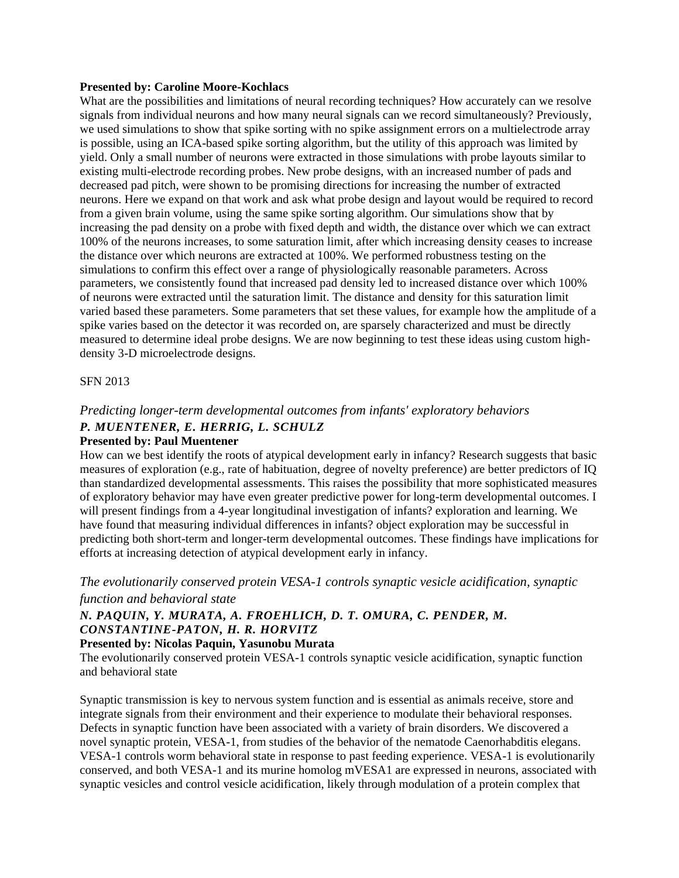#### **Presented by: Caroline Moore-Kochlacs**

What are the possibilities and limitations of neural recording techniques? How accurately can we resolve signals from individual neurons and how many neural signals can we record simultaneously? Previously, we used simulations to show that spike sorting with no spike assignment errors on a multielectrode array is possible, using an ICA-based spike sorting algorithm, but the utility of this approach was limited by yield. Only a small number of neurons were extracted in those simulations with probe layouts similar to existing multi-electrode recording probes. New probe designs, with an increased number of pads and decreased pad pitch, were shown to be promising directions for increasing the number of extracted neurons. Here we expand on that work and ask what probe design and layout would be required to record from a given brain volume, using the same spike sorting algorithm. Our simulations show that by increasing the pad density on a probe with fixed depth and width, the distance over which we can extract 100% of the neurons increases, to some saturation limit, after which increasing density ceases to increase the distance over which neurons are extracted at 100%. We performed robustness testing on the simulations to confirm this effect over a range of physiologically reasonable parameters. Across parameters, we consistently found that increased pad density led to increased distance over which 100% of neurons were extracted until the saturation limit. The distance and density for this saturation limit varied based these parameters. Some parameters that set these values, for example how the amplitude of a spike varies based on the detector it was recorded on, are sparsely characterized and must be directly measured to determine ideal probe designs. We are now beginning to test these ideas using custom highdensity 3-D microelectrode designs.

#### SFN 2013

# *Predicting longer-term developmental outcomes from infants' exploratory behaviors P. MUENTENER, E. HERRIG, L. SCHULZ*

#### **Presented by: Paul Muentener**

How can we best identify the roots of atypical development early in infancy? Research suggests that basic measures of exploration (e.g., rate of habituation, degree of novelty preference) are better predictors of IQ than standardized developmental assessments. This raises the possibility that more sophisticated measures of exploratory behavior may have even greater predictive power for long-term developmental outcomes. I will present findings from a 4-year longitudinal investigation of infants? exploration and learning. We have found that measuring individual differences in infants? object exploration may be successful in predicting both short-term and longer-term developmental outcomes. These findings have implications for efforts at increasing detection of atypical development early in infancy.

#### *The evolutionarily conserved protein VESA-1 controls synaptic vesicle acidification, synaptic function and behavioral state*

#### *N. PAQUIN, Y. MURATA, A. FROEHLICH, D. T. OMURA, C. PENDER, M. CONSTANTINE-PATON, H. R. HORVITZ*

#### **Presented by: Nicolas Paquin, Yasunobu Murata**

The evolutionarily conserved protein VESA-1 controls synaptic vesicle acidification, synaptic function and behavioral state

Synaptic transmission is key to nervous system function and is essential as animals receive, store and integrate signals from their environment and their experience to modulate their behavioral responses. Defects in synaptic function have been associated with a variety of brain disorders. We discovered a novel synaptic protein, VESA-1, from studies of the behavior of the nematode Caenorhabditis elegans. VESA-1 controls worm behavioral state in response to past feeding experience. VESA-1 is evolutionarily conserved, and both VESA-1 and its murine homolog mVESA1 are expressed in neurons, associated with synaptic vesicles and control vesicle acidification, likely through modulation of a protein complex that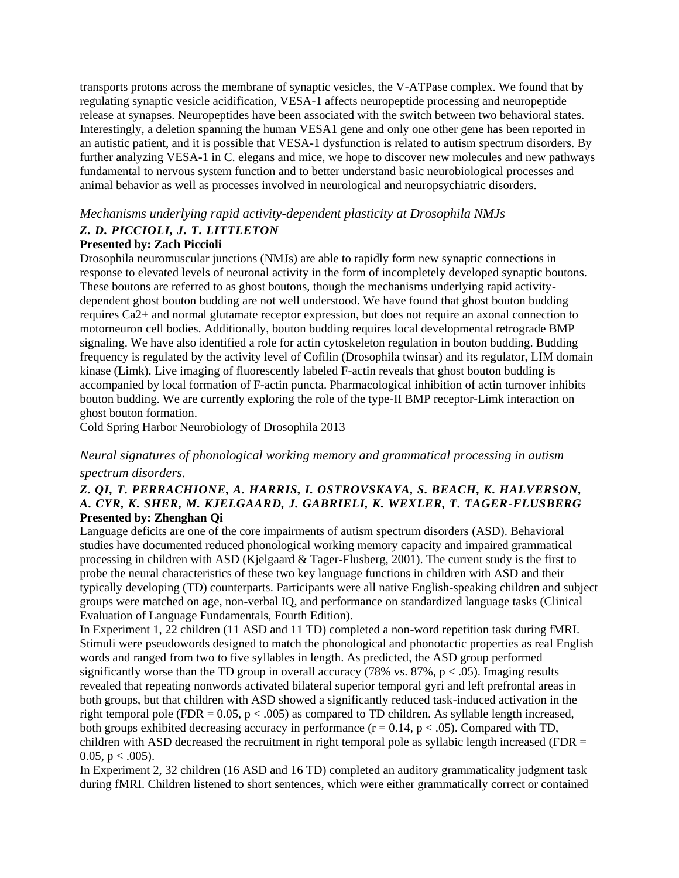transports protons across the membrane of synaptic vesicles, the V-ATPase complex. We found that by regulating synaptic vesicle acidification, VESA-1 affects neuropeptide processing and neuropeptide release at synapses. Neuropeptides have been associated with the switch between two behavioral states. Interestingly, a deletion spanning the human VESA1 gene and only one other gene has been reported in an autistic patient, and it is possible that VESA-1 dysfunction is related to autism spectrum disorders. By further analyzing VESA-1 in C. elegans and mice, we hope to discover new molecules and new pathways fundamental to nervous system function and to better understand basic neurobiological processes and animal behavior as well as processes involved in neurological and neuropsychiatric disorders.

# *Mechanisms underlying rapid activity-dependent plasticity at Drosophila NMJs Z. D. PICCIOLI, J. T. LITTLETON*

#### **Presented by: Zach Piccioli**

Drosophila neuromuscular junctions (NMJs) are able to rapidly form new synaptic connections in response to elevated levels of neuronal activity in the form of incompletely developed synaptic boutons. These boutons are referred to as ghost boutons, though the mechanisms underlying rapid activitydependent ghost bouton budding are not well understood. We have found that ghost bouton budding requires Ca2+ and normal glutamate receptor expression, but does not require an axonal connection to motorneuron cell bodies. Additionally, bouton budding requires local developmental retrograde BMP signaling. We have also identified a role for actin cytoskeleton regulation in bouton budding. Budding frequency is regulated by the activity level of Cofilin (Drosophila twinsar) and its regulator, LIM domain kinase (Limk). Live imaging of fluorescently labeled F-actin reveals that ghost bouton budding is accompanied by local formation of F-actin puncta. Pharmacological inhibition of actin turnover inhibits bouton budding. We are currently exploring the role of the type-II BMP receptor-Limk interaction on ghost bouton formation.

Cold Spring Harbor Neurobiology of Drosophila 2013

#### *Neural signatures of phonological working memory and grammatical processing in autism spectrum disorders.*

#### *Z. QI, T. PERRACHIONE, A. HARRIS, I. OSTROVSKAYA, S. BEACH, K. HALVERSON, A. CYR, K. SHER, M. KJELGAARD, J. GABRIELI, K. WEXLER, T. TAGER-FLUSBERG* **Presented by: Zhenghan Qi**

Language deficits are one of the core impairments of autism spectrum disorders (ASD). Behavioral studies have documented reduced phonological working memory capacity and impaired grammatical processing in children with ASD (Kjelgaard & Tager-Flusberg, 2001). The current study is the first to probe the neural characteristics of these two key language functions in children with ASD and their typically developing (TD) counterparts. Participants were all native English-speaking children and subject groups were matched on age, non-verbal IQ, and performance on standardized language tasks (Clinical Evaluation of Language Fundamentals, Fourth Edition).

In Experiment 1, 22 children (11 ASD and 11 TD) completed a non-word repetition task during fMRI. Stimuli were pseudowords designed to match the phonological and phonotactic properties as real English words and ranged from two to five syllables in length. As predicted, the ASD group performed significantly worse than the TD group in overall accuracy (78% vs. 87%,  $p < .05$ ). Imaging results revealed that repeating nonwords activated bilateral superior temporal gyri and left prefrontal areas in both groups, but that children with ASD showed a significantly reduced task-induced activation in the right temporal pole (FDR =  $0.05$ , p <  $.005$ ) as compared to TD children. As syllable length increased, both groups exhibited decreasing accuracy in performance ( $r = 0.14$ ,  $p < .05$ ). Compared with TD, children with ASD decreased the recruitment in right temporal pole as syllabic length increased (FDR = 0.05,  $p < .005$ ).

In Experiment 2, 32 children (16 ASD and 16 TD) completed an auditory grammaticality judgment task during fMRI. Children listened to short sentences, which were either grammatically correct or contained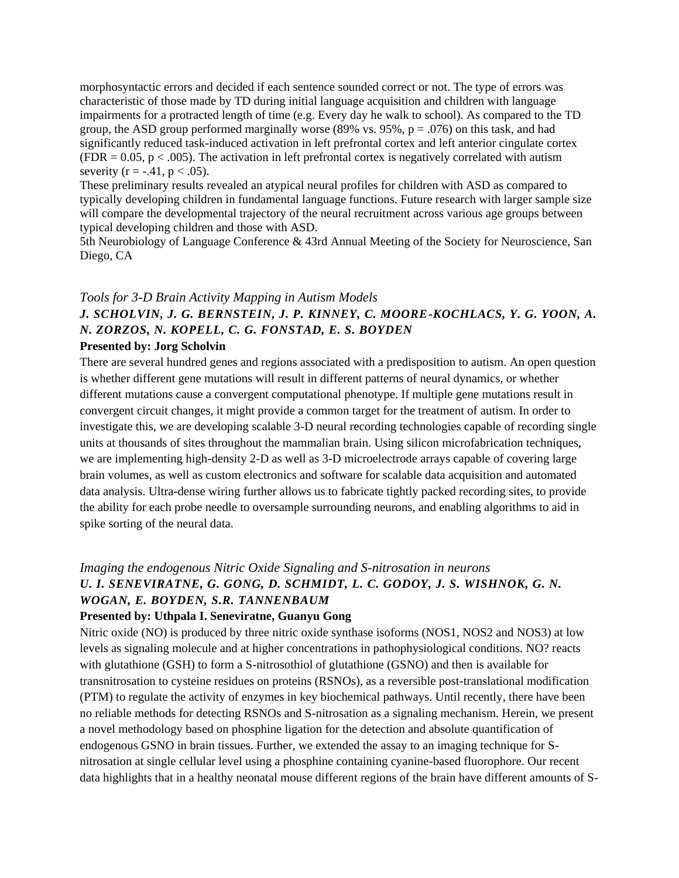morphosyntactic errors and decided if each sentence sounded correct or not. The type of errors was characteristic of those made by TD during initial language acquisition and children with language impairments for a protracted length of time (e.g. Every day he walk to school). As compared to the TD group, the ASD group performed marginally worse  $(89\% \text{ vs. } 95\%, \text{ p} = .076)$  on this task, and had significantly reduced task-induced activation in left prefrontal cortex and left anterior cingulate cortex  $(FDR = 0.05, p < .005)$ . The activation in left prefrontal cortex is negatively correlated with autism severity ( $r = -.41$ ,  $p < .05$ ).

These preliminary results revealed an atypical neural profiles for children with ASD as compared to typically developing children in fundamental language functions. Future research with larger sample size will compare the developmental trajectory of the neural recruitment across various age groups between typical developing children and those with ASD.

5th Neurobiology of Language Conference & 43rd Annual Meeting of the Society for Neuroscience, San Diego, CA

# *Tools for 3-D Brain Activity Mapping in Autism Models J. SCHOLVIN, J. G. BERNSTEIN, J. P. KINNEY, C. MOORE-KOCHLACS, Y. G. YOON, A. N. ZORZOS, N. KOPELL, C. G. FONSTAD, E. S. BOYDEN*

#### **Presented by: Jorg Scholvin**

There are several hundred genes and regions associated with a predisposition to autism. An open question is whether different gene mutations will result in different patterns of neural dynamics, or whether different mutations cause a convergent computational phenotype. If multiple gene mutations result in convergent circuit changes, it might provide a common target for the treatment of autism. In order to investigate this, we are developing scalable 3-D neural recording technologies capable of recording single units at thousands of sites throughout the mammalian brain. Using silicon microfabrication techniques, we are implementing high-density 2-D as well as 3-D microelectrode arrays capable of covering large brain volumes, as well as custom electronics and software for scalable data acquisition and automated data analysis. Ultra-dense wiring further allows us to fabricate tightly packed recording sites, to provide the ability for each probe needle to oversample surrounding neurons, and enabling algorithms to aid in spike sorting of the neural data.

#### *Imaging the endogenous Nitric Oxide Signaling and S-nitrosation in neurons U. I. SENEVIRATNE, G. GONG, D. SCHMIDT, L. C. GODOY, J. S. WISHNOK, G. N. WOGAN, E. BOYDEN, S.R. TANNENBAUM*

#### **Presented by: Uthpala I. Seneviratne, Guanyu Gong**

Nitric oxide (NO) is produced by three nitric oxide synthase isoforms (NOS1, NOS2 and NOS3) at low levels as signaling molecule and at higher concentrations in pathophysiological conditions. NO? reacts with glutathione (GSH) to form a S-nitrosothiol of glutathione (GSNO) and then is available for transnitrosation to cysteine residues on proteins (RSNOs), as a reversible post-translational modification (PTM) to regulate the activity of enzymes in key biochemical pathways. Until recently, there have been no reliable methods for detecting RSNOs and S-nitrosation as a signaling mechanism. Herein, we present a novel methodology based on phosphine ligation for the detection and absolute quantification of endogenous GSNO in brain tissues. Further, we extended the assay to an imaging technique for Snitrosation at single cellular level using a phosphine containing cyanine-based fluorophore. Our recent data highlights that in a healthy neonatal mouse different regions of the brain have different amounts of S-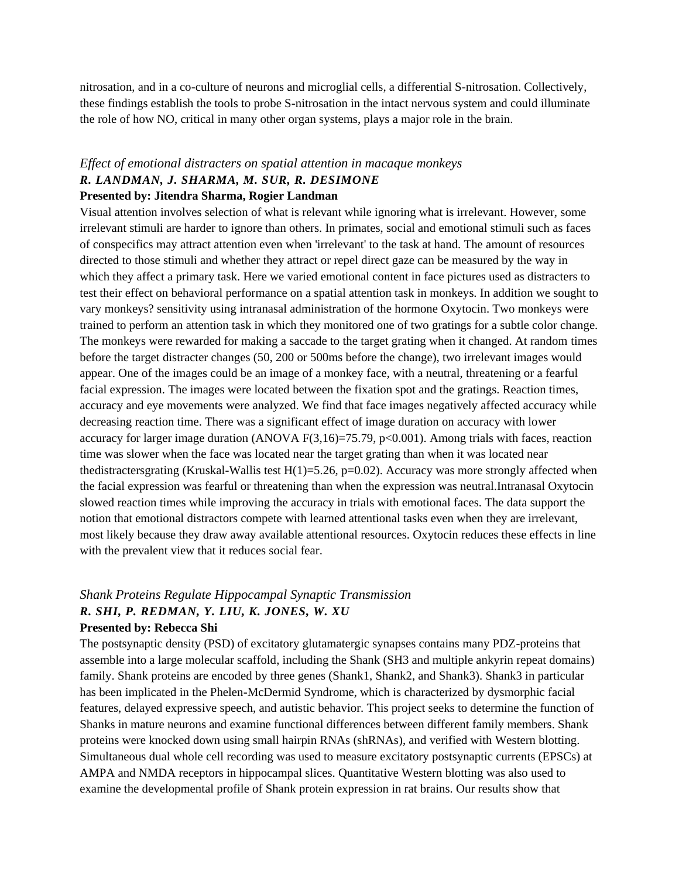nitrosation, and in a co-culture of neurons and microglial cells, a differential S-nitrosation. Collectively, these findings establish the tools to probe S-nitrosation in the intact nervous system and could illuminate the role of how NO, critical in many other organ systems, plays a major role in the brain.

#### *Effect of emotional distracters on spatial attention in macaque monkeys R. LANDMAN, J. SHARMA, M. SUR, R. DESIMONE*

#### **Presented by: Jitendra Sharma, Rogier Landman**

Visual attention involves selection of what is relevant while ignoring what is irrelevant. However, some irrelevant stimuli are harder to ignore than others. In primates, social and emotional stimuli such as faces of conspecifics may attract attention even when 'irrelevant' to the task at hand. The amount of resources directed to those stimuli and whether they attract or repel direct gaze can be measured by the way in which they affect a primary task. Here we varied emotional content in face pictures used as distracters to test their effect on behavioral performance on a spatial attention task in monkeys. In addition we sought to vary monkeys? sensitivity using intranasal administration of the hormone Oxytocin. Two monkeys were trained to perform an attention task in which they monitored one of two gratings for a subtle color change. The monkeys were rewarded for making a saccade to the target grating when it changed. At random times before the target distracter changes (50, 200 or 500ms before the change), two irrelevant images would appear. One of the images could be an image of a monkey face, with a neutral, threatening or a fearful facial expression. The images were located between the fixation spot and the gratings. Reaction times, accuracy and eye movements were analyzed. We find that face images negatively affected accuracy while decreasing reaction time. There was a significant effect of image duration on accuracy with lower accuracy for larger image duration (ANOVA  $F(3,16)=75.79$ ,  $p<0.001$ ). Among trials with faces, reaction time was slower when the face was located near the target grating than when it was located near thedistractersgrating (Kruskal-Wallis test  $H(1)=5.26$ ,  $p=0.02$ ). Accuracy was more strongly affected when the facial expression was fearful or threatening than when the expression was neutral.Intranasal Oxytocin slowed reaction times while improving the accuracy in trials with emotional faces. The data support the notion that emotional distractors compete with learned attentional tasks even when they are irrelevant, most likely because they draw away available attentional resources. Oxytocin reduces these effects in line with the prevalent view that it reduces social fear.

# *Shank Proteins Regulate Hippocampal Synaptic Transmission R. SHI, P. REDMAN, Y. LIU, K. JONES, W. XU*

#### **Presented by: Rebecca Shi**

The postsynaptic density (PSD) of excitatory glutamatergic synapses contains many PDZ-proteins that assemble into a large molecular scaffold, including the Shank (SH3 and multiple ankyrin repeat domains) family. Shank proteins are encoded by three genes (Shank1, Shank2, and Shank3). Shank3 in particular has been implicated in the Phelen-McDermid Syndrome, which is characterized by dysmorphic facial features, delayed expressive speech, and autistic behavior. This project seeks to determine the function of Shanks in mature neurons and examine functional differences between different family members. Shank proteins were knocked down using small hairpin RNAs (shRNAs), and verified with Western blotting. Simultaneous dual whole cell recording was used to measure excitatory postsynaptic currents (EPSCs) at AMPA and NMDA receptors in hippocampal slices. Quantitative Western blotting was also used to examine the developmental profile of Shank protein expression in rat brains. Our results show that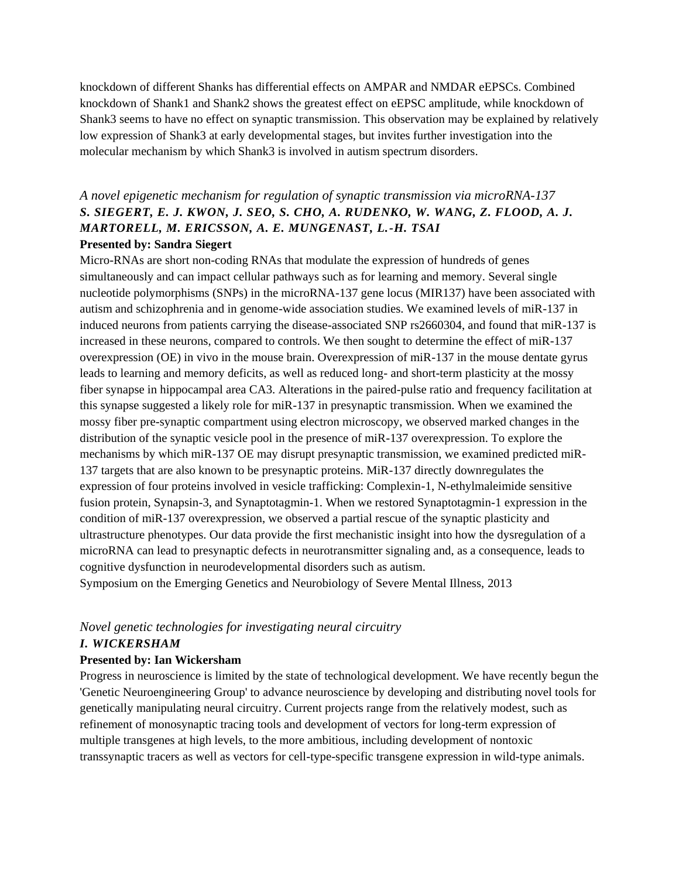knockdown of different Shanks has differential effects on AMPAR and NMDAR eEPSCs. Combined knockdown of Shank1 and Shank2 shows the greatest effect on eEPSC amplitude, while knockdown of Shank3 seems to have no effect on synaptic transmission. This observation may be explained by relatively low expression of Shank3 at early developmental stages, but invites further investigation into the molecular mechanism by which Shank3 is involved in autism spectrum disorders.

#### *A novel epigenetic mechanism for regulation of synaptic transmission via microRNA-137 S. SIEGERT, E. J. KWON, J. SEO, S. CHO, A. RUDENKO, W. WANG, Z. FLOOD, A. J. MARTORELL, M. ERICSSON, A. E. MUNGENAST, L.-H. TSAI* **Presented by: Sandra Siegert**

Micro-RNAs are short non-coding RNAs that modulate the expression of hundreds of genes simultaneously and can impact cellular pathways such as for learning and memory. Several single nucleotide polymorphisms (SNPs) in the microRNA-137 gene locus (MIR137) have been associated with autism and schizophrenia and in genome-wide association studies. We examined levels of miR-137 in induced neurons from patients carrying the disease-associated SNP rs2660304, and found that miR-137 is increased in these neurons, compared to controls. We then sought to determine the effect of miR-137 overexpression (OE) in vivo in the mouse brain. Overexpression of miR-137 in the mouse dentate gyrus leads to learning and memory deficits, as well as reduced long- and short-term plasticity at the mossy fiber synapse in hippocampal area CA3. Alterations in the paired-pulse ratio and frequency facilitation at this synapse suggested a likely role for miR-137 in presynaptic transmission. When we examined the mossy fiber pre-synaptic compartment using electron microscopy, we observed marked changes in the distribution of the synaptic vesicle pool in the presence of miR-137 overexpression. To explore the mechanisms by which miR-137 OE may disrupt presynaptic transmission, we examined predicted miR-137 targets that are also known to be presynaptic proteins. MiR-137 directly downregulates the expression of four proteins involved in vesicle trafficking: Complexin-1, N-ethylmaleimide sensitive fusion protein, Synapsin-3, and Synaptotagmin-1. When we restored Synaptotagmin-1 expression in the condition of miR-137 overexpression, we observed a partial rescue of the synaptic plasticity and ultrastructure phenotypes. Our data provide the first mechanistic insight into how the dysregulation of a microRNA can lead to presynaptic defects in neurotransmitter signaling and, as a consequence, leads to cognitive dysfunction in neurodevelopmental disorders such as autism. Symposium on the Emerging Genetics and Neurobiology of Severe Mental Illness, 2013

# *Novel genetic technologies for investigating neural circuitry*

#### *I. WICKERSHAM*

#### **Presented by: Ian Wickersham**

Progress in neuroscience is limited by the state of technological development. We have recently begun the 'Genetic Neuroengineering Group' to advance neuroscience by developing and distributing novel tools for genetically manipulating neural circuitry. Current projects range from the relatively modest, such as refinement of monosynaptic tracing tools and development of vectors for long-term expression of multiple transgenes at high levels, to the more ambitious, including development of nontoxic transsynaptic tracers as well as vectors for cell-type-specific transgene expression in wild-type animals.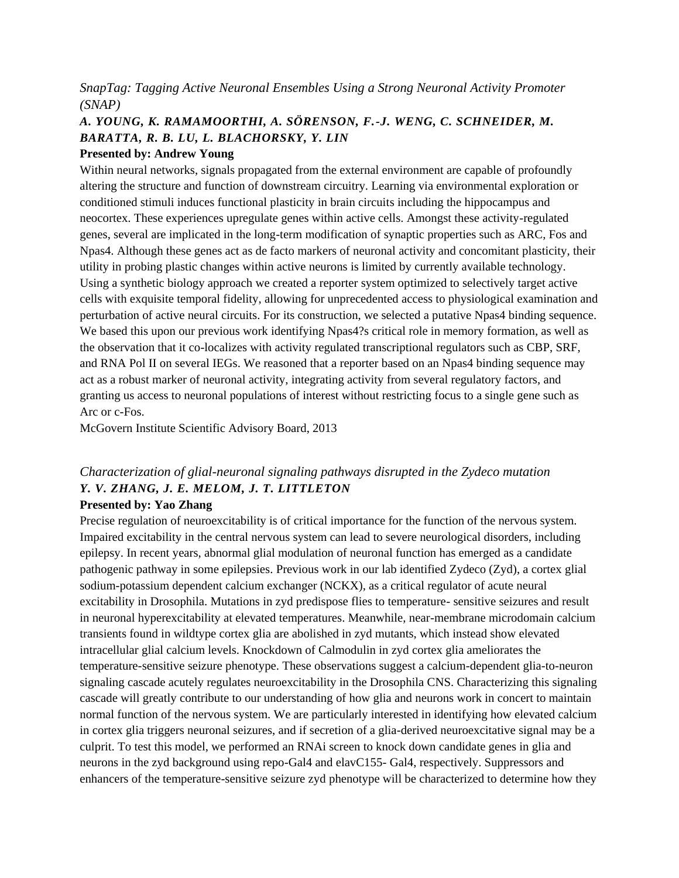#### *SnapTag: Tagging Active Neuronal Ensembles Using a Strong Neuronal Activity Promoter (SNAP)*

### *A. YOUNG, K. RAMAMOORTHI, A. SÖRENSON, F.-J. WENG, C. SCHNEIDER, M. BARATTA, R. B. LU, L. BLACHORSKY, Y. LIN*

#### **Presented by: Andrew Young**

Within neural networks, signals propagated from the external environment are capable of profoundly altering the structure and function of downstream circuitry. Learning via environmental exploration or conditioned stimuli induces functional plasticity in brain circuits including the hippocampus and neocortex. These experiences upregulate genes within active cells. Amongst these activity-regulated genes, several are implicated in the long-term modification of synaptic properties such as ARC, Fos and Npas4. Although these genes act as de facto markers of neuronal activity and concomitant plasticity, their utility in probing plastic changes within active neurons is limited by currently available technology. Using a synthetic biology approach we created a reporter system optimized to selectively target active cells with exquisite temporal fidelity, allowing for unprecedented access to physiological examination and perturbation of active neural circuits. For its construction, we selected a putative Npas4 binding sequence. We based this upon our previous work identifying Npas4?s critical role in memory formation, as well as the observation that it co-localizes with activity regulated transcriptional regulators such as CBP, SRF, and RNA Pol II on several IEGs. We reasoned that a reporter based on an Npas4 binding sequence may act as a robust marker of neuronal activity, integrating activity from several regulatory factors, and granting us access to neuronal populations of interest without restricting focus to a single gene such as Arc or c-Fos.

McGovern Institute Scientific Advisory Board, 2013

# *Characterization of glial-neuronal signaling pathways disrupted in the Zydeco mutation Y. V. ZHANG, J. E. MELOM, J. T. LITTLETON*

#### **Presented by: Yao Zhang**

Precise regulation of neuroexcitability is of critical importance for the function of the nervous system. Impaired excitability in the central nervous system can lead to severe neurological disorders, including epilepsy. In recent years, abnormal glial modulation of neuronal function has emerged as a candidate pathogenic pathway in some epilepsies. Previous work in our lab identified Zydeco (Zyd), a cortex glial sodium-potassium dependent calcium exchanger (NCKX), as a critical regulator of acute neural excitability in Drosophila. Mutations in zyd predispose flies to temperature- sensitive seizures and result in neuronal hyperexcitability at elevated temperatures. Meanwhile, near-membrane microdomain calcium transients found in wildtype cortex glia are abolished in zyd mutants, which instead show elevated intracellular glial calcium levels. Knockdown of Calmodulin in zyd cortex glia ameliorates the temperature-sensitive seizure phenotype. These observations suggest a calcium-dependent glia-to-neuron signaling cascade acutely regulates neuroexcitability in the Drosophila CNS. Characterizing this signaling cascade will greatly contribute to our understanding of how glia and neurons work in concert to maintain normal function of the nervous system. We are particularly interested in identifying how elevated calcium in cortex glia triggers neuronal seizures, and if secretion of a glia-derived neuroexcitative signal may be a culprit. To test this model, we performed an RNAi screen to knock down candidate genes in glia and neurons in the zyd background using repo-Gal4 and elavC155- Gal4, respectively. Suppressors and enhancers of the temperature-sensitive seizure zyd phenotype will be characterized to determine how they